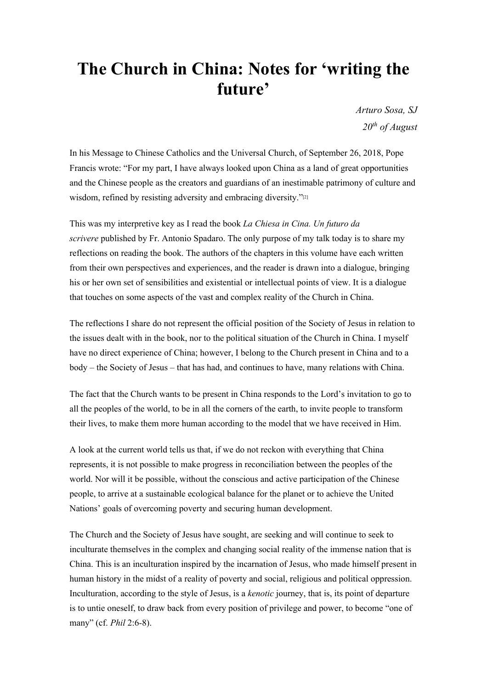## **The Church in China: Notes for 'writing the future'**

*Arturo Sosa, SJ 20th of August*

In his Message to Chinese Catholics and the Universal Church, of September 26, 2018, Pope Francis wrote: "For my part, I have always looked upon China as a land of great opportunities and the Chinese people as the creators and guardians of an inestimable patrimony of culture and wisdom, refined by resisting adversity and embracing diversity."<sup>[2]</sup>

This was my interpretive key as I read the book *La Chiesa in Cina. Un futuro da scrivere* published by Fr. Antonio Spadaro. The only purpose of my talk today is to share my reflections on reading the book. The authors of the chapters in this volume have each written from their own perspectives and experiences, and the reader is drawn into a dialogue, bringing his or her own set of sensibilities and existential or intellectual points of view. It is a dialogue that touches on some aspects of the vast and complex reality of the Church in China.

The reflections I share do not represent the official position of the Society of Jesus in relation to the issues dealt with in the book, nor to the political situation of the Church in China. I myself have no direct experience of China; however, I belong to the Church present in China and to a body – the Society of Jesus – that has had, and continues to have, many relations with China.

The fact that the Church wants to be present in China responds to the Lord's invitation to go to all the peoples of the world, to be in all the corners of the earth, to invite people to transform their lives, to make them more human according to the model that we have received in Him.

A look at the current world tells us that, if we do not reckon with everything that China represents, it is not possible to make progress in reconciliation between the peoples of the world. Nor will it be possible, without the conscious and active participation of the Chinese people, to arrive at a sustainable ecological balance for the planet or to achieve the United Nations' goals of overcoming poverty and securing human development.

The Church and the Society of Jesus have sought, are seeking and will continue to seek to inculturate themselves in the complex and changing social reality of the immense nation that is China. This is an inculturation inspired by the incarnation of Jesus, who made himself present in human history in the midst of a reality of poverty and social, religious and political oppression. Inculturation, according to the style of Jesus, is a *kenotic* journey, that is, its point of departure is to untie oneself, to draw back from every position of privilege and power, to become "one of many" (cf. *Phil* 2:6-8).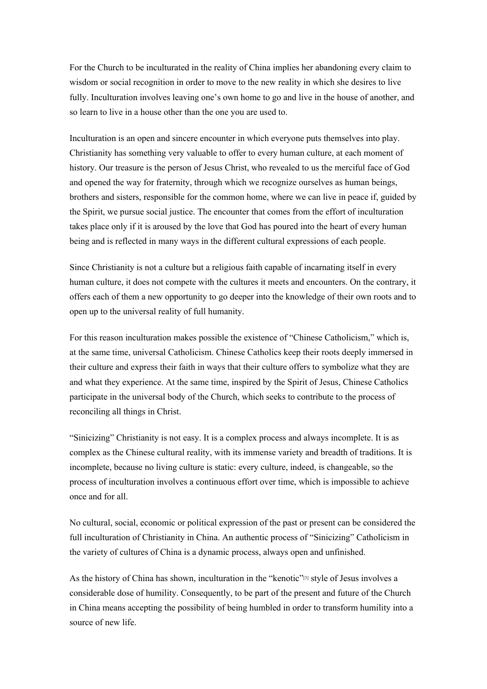For the Church to be inculturated in the reality of China implies her abandoning every claim to wisdom or social recognition in order to move to the new reality in which she desires to live fully. Inculturation involves leaving one's own home to go and live in the house of another, and so learn to live in a house other than the one you are used to.

Inculturation is an open and sincere encounter in which everyone puts themselves into play. Christianity has something very valuable to offer to every human culture, at each moment of history. Our treasure is the person of Jesus Christ, who revealed to us the merciful face of God and opened the way for fraternity, through which we recognize ourselves as human beings, brothers and sisters, responsible for the common home, where we can live in peace if, guided by the Spirit, we pursue social justice. The encounter that comes from the effort of inculturation takes place only if it is aroused by the love that God has poured into the heart of every human being and is reflected in many ways in the different cultural expressions of each people.

Since Christianity is not a culture but a religious faith capable of incarnating itself in every human culture, it does not compete with the cultures it meets and encounters. On the contrary, it offers each of them a new opportunity to go deeper into the knowledge of their own roots and to open up to the universal reality of full humanity.

For this reason inculturation makes possible the existence of "Chinese Catholicism," which is, at the same time, universal Catholicism. Chinese Catholics keep their roots deeply immersed in their culture and express their faith in ways that their culture offers to symbolize what they are and what they experience. At the same time, inspired by the Spirit of Jesus, Chinese Catholics participate in the universal body of the Church, which seeks to contribute to the process of reconciling all things in Christ.

"Sinicizing" Christianity is not easy. It is a complex process and always incomplete. It is as complex as the Chinese cultural reality, with its immense variety and breadth of traditions. It is incomplete, because no living culture is static: every culture, indeed, is changeable, so the process of inculturation involves a continuous effort over time, which is impossible to achieve once and for all.

No cultural, social, economic or political expression of the past or present can be considered the full inculturation of Christianity in China. An authentic process of "Sinicizing" Catholicism in the variety of cultures of China is a dynamic process, always open and unfinished.

As the history of China has shown, inculturation in the "kenotic"<sup>[3]</sup> style of Jesus involves a considerable dose of humility. Consequently, to be part of the present and future of the Church in China means accepting the possibility of being humbled in order to transform humility into a source of new life.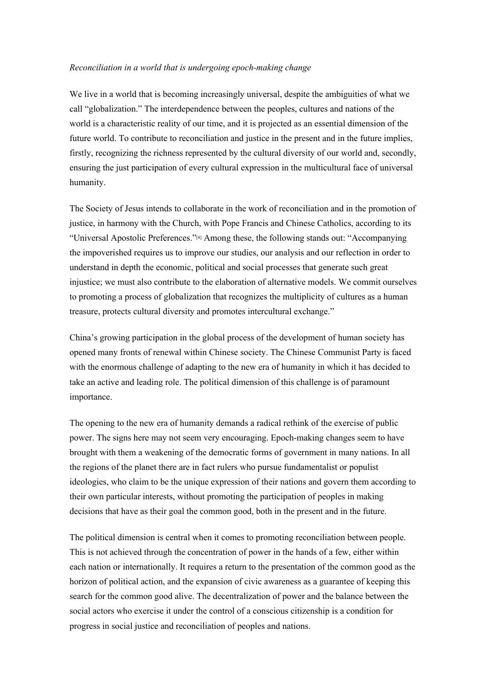## *Reconciliation in a world that is undergoing epoch-making change*

We live in a world that is becoming increasingly universal, despite the ambiguities of what we call "globalization." The interdependence between the peoples, cultures and nations of the world is a characteristic reality of our time, and it is projected as an essential dimension of the future world. To contribute to reconciliation and justice in the present and in the future implies, firstly, recognizing the richness represented by the cultural diversity of our world and, secondly, ensuring the just participation of every cultural expression in the multicultural face of universal humanity.

The Society of Jesus intends to collaborate in the work of reconciliation and in the promotion of justice, in harmony with the Church, with Pope Francis and Chinese Catholics, according to its "Universal Apostolic Preferences."[4] Among these, the following stands out: "Accompanying the impoverished requires us to improve our studies, our analysis and our reflection in order to understand in depth the economic, political and social processes that generate such great injustice; we must also contribute to the elaboration of alternative models. We commit ourselves to promoting a process of globalization that recognizes the multiplicity of cultures as a human treasure, protects cultural diversity and promotes intercultural exchange."

China's growing participation in the global process of the development of human society has opened many fronts of renewal within Chinese society. The Chinese Communist Party is faced with the enormous challenge of adapting to the new era of humanity in which it has decided to take an active and leading role. The political dimension of this challenge is of paramount importance.

The opening to the new era of humanity demands a radical rethink of the exercise of public power. The signs here may not seem very encouraging. Epoch-making changes seem to have brought with them a weakening of the democratic forms of government in many nations. In all the regions of the planet there are in fact rulers who pursue fundamentalist or populist ideologies, who claim to be the unique expression of their nations and govern them according to their own particular interests, without promoting the participation of peoples in making decisions that have as their goal the common good, both in the present and in the future.

The political dimension is central when it comes to promoting reconciliation between people. This is not achieved through the concentration of power in the hands of a few, either within each nation or internationally. It requires a return to the presentation of the common good as the horizon of political action, and the expansion of civic awareness as a guarantee of keeping this search for the common good alive. The decentralization of power and the balance between the social actors who exercise it under the control of a conscious citizenship is a condition for progress in social justice and reconciliation of peoples and nations.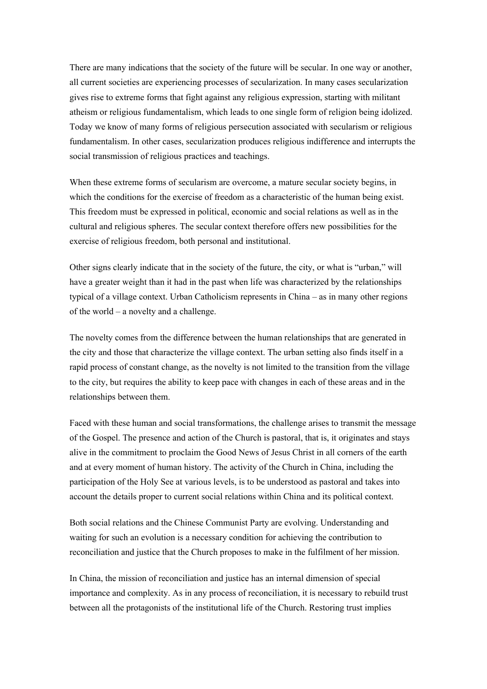There are many indications that the society of the future will be secular. In one way or another, all current societies are experiencing processes of secularization. In many cases secularization gives rise to extreme forms that fight against any religious expression, starting with militant atheism or religious fundamentalism, which leads to one single form of religion being idolized. Today we know of many forms of religious persecution associated with secularism or religious fundamentalism. In other cases, secularization produces religious indifference and interrupts the social transmission of religious practices and teachings.

When these extreme forms of secularism are overcome, a mature secular society begins, in which the conditions for the exercise of freedom as a characteristic of the human being exist. This freedom must be expressed in political, economic and social relations as well as in the cultural and religious spheres. The secular context therefore offers new possibilities for the exercise of religious freedom, both personal and institutional.

Other signs clearly indicate that in the society of the future, the city, or what is "urban," will have a greater weight than it had in the past when life was characterized by the relationships typical of a village context. Urban Catholicism represents in China – as in many other regions of the world – a novelty and a challenge.

The novelty comes from the difference between the human relationships that are generated in the city and those that characterize the village context. The urban setting also finds itself in a rapid process of constant change, as the novelty is not limited to the transition from the village to the city, but requires the ability to keep pace with changes in each of these areas and in the relationships between them.

Faced with these human and social transformations, the challenge arises to transmit the message of the Gospel. The presence and action of the Church is pastoral, that is, it originates and stays alive in the commitment to proclaim the Good News of Jesus Christ in all corners of the earth and at every moment of human history. The activity of the Church in China, including the participation of the Holy See at various levels, is to be understood as pastoral and takes into account the details proper to current social relations within China and its political context.

Both social relations and the Chinese Communist Party are evolving. Understanding and waiting for such an evolution is a necessary condition for achieving the contribution to reconciliation and justice that the Church proposes to make in the fulfilment of her mission.

In China, the mission of reconciliation and justice has an internal dimension of special importance and complexity. As in any process of reconciliation, it is necessary to rebuild trust between all the protagonists of the institutional life of the Church. Restoring trust implies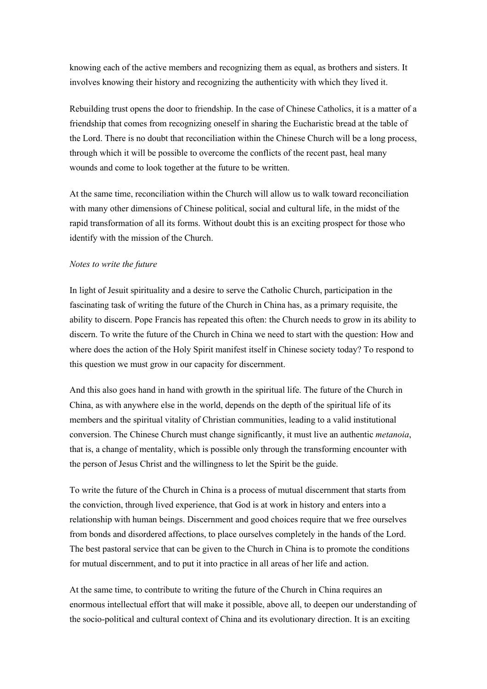knowing each of the active members and recognizing them as equal, as brothers and sisters. It involves knowing their history and recognizing the authenticity with which they lived it.

Rebuilding trust opens the door to friendship. In the case of Chinese Catholics, it is a matter of a friendship that comes from recognizing oneself in sharing the Eucharistic bread at the table of the Lord. There is no doubt that reconciliation within the Chinese Church will be a long process, through which it will be possible to overcome the conflicts of the recent past, heal many wounds and come to look together at the future to be written.

At the same time, reconciliation within the Church will allow us to walk toward reconciliation with many other dimensions of Chinese political, social and cultural life, in the midst of the rapid transformation of all its forms. Without doubt this is an exciting prospect for those who identify with the mission of the Church.

## *Notes to write the future*

In light of Jesuit spirituality and a desire to serve the Catholic Church, participation in the fascinating task of writing the future of the Church in China has, as a primary requisite, the ability to discern. Pope Francis has repeated this often: the Church needs to grow in its ability to discern. To write the future of the Church in China we need to start with the question: How and where does the action of the Holy Spirit manifest itself in Chinese society today? To respond to this question we must grow in our capacity for discernment.

And this also goes hand in hand with growth in the spiritual life. The future of the Church in China, as with anywhere else in the world, depends on the depth of the spiritual life of its members and the spiritual vitality of Christian communities, leading to a valid institutional conversion. The Chinese Church must change significantly, it must live an authentic *metanoia*, that is, a change of mentality, which is possible only through the transforming encounter with the person of Jesus Christ and the willingness to let the Spirit be the guide.

To write the future of the Church in China is a process of mutual discernment that starts from the conviction, through lived experience, that God is at work in history and enters into a relationship with human beings. Discernment and good choices require that we free ourselves from bonds and disordered affections, to place ourselves completely in the hands of the Lord. The best pastoral service that can be given to the Church in China is to promote the conditions for mutual discernment, and to put it into practice in all areas of her life and action.

At the same time, to contribute to writing the future of the Church in China requires an enormous intellectual effort that will make it possible, above all, to deepen our understanding of the socio-political and cultural context of China and its evolutionary direction. It is an exciting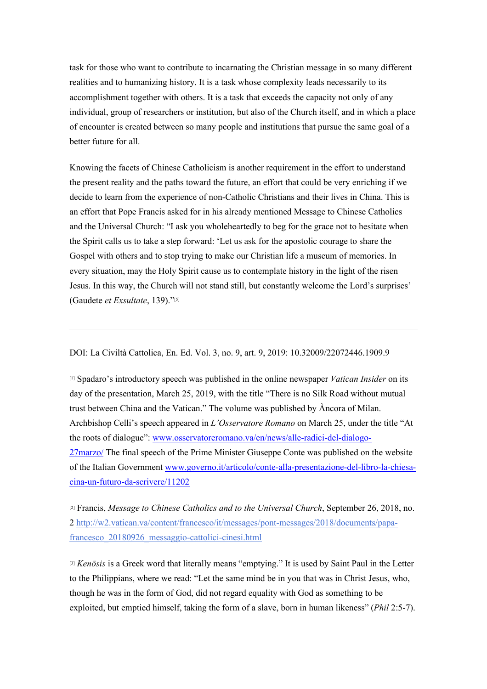task for those who want to contribute to incarnating the Christian message in so many different realities and to humanizing history. It is a task whose complexity leads necessarily to its accomplishment together with others. It is a task that exceeds the capacity not only of any individual, group of researchers or institution, but also of the Church itself, and in which a place of encounter is created between so many people and institutions that pursue the same goal of a better future for all.

Knowing the facets of Chinese Catholicism is another requirement in the effort to understand the present reality and the paths toward the future, an effort that could be very enriching if we decide to learn from the experience of non-Catholic Christians and their lives in China. This is an effort that Pope Francis asked for in his already mentioned Message to Chinese Catholics and the Universal Church: "I ask you wholeheartedly to beg for the grace not to hesitate when the Spirit calls us to take a step forward: 'Let us ask for the apostolic courage to share the Gospel with others and to stop trying to make our Christian life a museum of memories. In every situation, may the Holy Spirit cause us to contemplate history in the light of the risen Jesus. In this way, the Church will not stand still, but constantly welcome the Lord's surprises' (Gaudete *et Exsultate*, 139)."[5]

DOI: La Civiltà Cattolica, En. Ed. Vol. 3, no. 9, art. 9, 2019: 10.32009/22072446.1909.9

[1] Spadaro's introductory speech was published in the online newspaper *Vatican Insider* on its day of the presentation, March 25, 2019, with the title "There is no Silk Road without mutual trust between China and the Vatican." The volume was published by Àncora of Milan. Archbishop Celli's speech appeared in *L'Osservatore Romano* on March 25, under the title "At the roots of dialogue": www.osservatoreromano.va/en/news/alle-radici-del-dialogo-27marzo/ The final speech of the Prime Minister Giuseppe Conte was published on the website of the Italian Government www.governo.it/articolo/conte-alla-presentazione-del-libro-la-chiesacina-un-futuro-da-scrivere/11202

[2] Francis, *Message to Chinese Catholics and to the Universal Church*, September 26, 2018, no. 2 http://w2.vatican.va/content/francesco/it/messages/pont-messages/2018/documents/papafrancesco\_20180926\_messaggio-cattolici-cinesi.html

[3] *Kenōsis* is a Greek word that literally means "emptying." It is used by Saint Paul in the Letter to the Philippians, where we read: "Let the same mind be in you that was in Christ Jesus, who, though he was in the form of God, did not regard equality with God as something to be exploited, but emptied himself, taking the form of a slave, born in human likeness" (*Phil* 2:5-7).